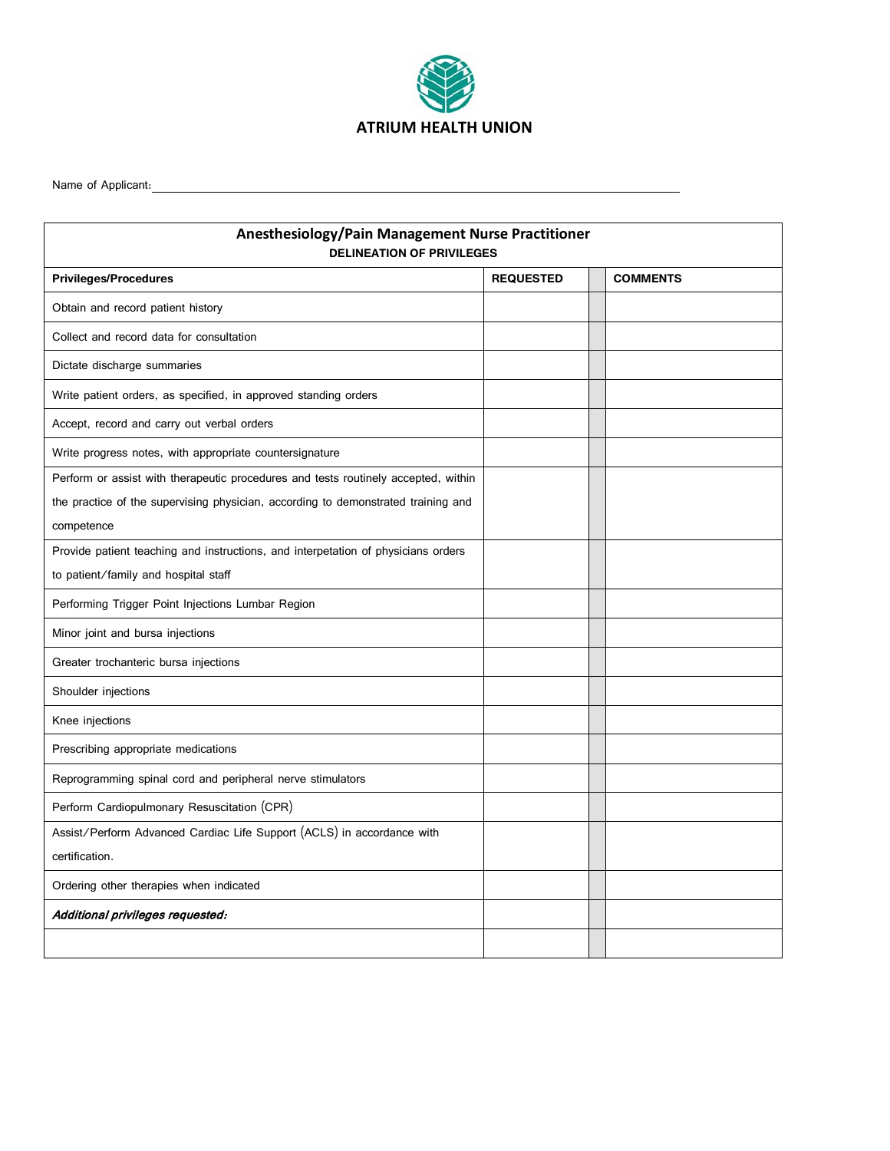

Name of Applicant:

| Anesthesiology/Pain Management Nurse Practitioner<br><b>DELINEATION OF PRIVILEGES</b> |                  |                 |  |
|---------------------------------------------------------------------------------------|------------------|-----------------|--|
|                                                                                       |                  |                 |  |
| <b>Privileges/Procedures</b>                                                          | <b>REQUESTED</b> | <b>COMMENTS</b> |  |
| Obtain and record patient history                                                     |                  |                 |  |
| Collect and record data for consultation                                              |                  |                 |  |
| Dictate discharge summaries                                                           |                  |                 |  |
| Write patient orders, as specified, in approved standing orders                       |                  |                 |  |
| Accept, record and carry out verbal orders                                            |                  |                 |  |
| Write progress notes, with appropriate countersignature                               |                  |                 |  |
| Perform or assist with therapeutic procedures and tests routinely accepted, within    |                  |                 |  |
| the practice of the supervising physician, according to demonstrated training and     |                  |                 |  |
| competence                                                                            |                  |                 |  |
| Provide patient teaching and instructions, and interpetation of physicians orders     |                  |                 |  |
| to patient/family and hospital staff                                                  |                  |                 |  |
| Performing Trigger Point Injections Lumbar Region                                     |                  |                 |  |
| Minor joint and bursa injections                                                      |                  |                 |  |
| Greater trochanteric bursa injections                                                 |                  |                 |  |
| Shoulder injections                                                                   |                  |                 |  |
| Knee injections                                                                       |                  |                 |  |
| Prescribing appropriate medications                                                   |                  |                 |  |
| Reprogramming spinal cord and peripheral nerve stimulators                            |                  |                 |  |
| Perform Cardiopulmonary Resuscitation (CPR)                                           |                  |                 |  |
| Assist/Perform Advanced Cardiac Life Support (ACLS) in accordance with                |                  |                 |  |
| certification.                                                                        |                  |                 |  |
| Ordering other therapies when indicated                                               |                  |                 |  |
| Additional privileges requested:                                                      |                  |                 |  |
|                                                                                       |                  |                 |  |